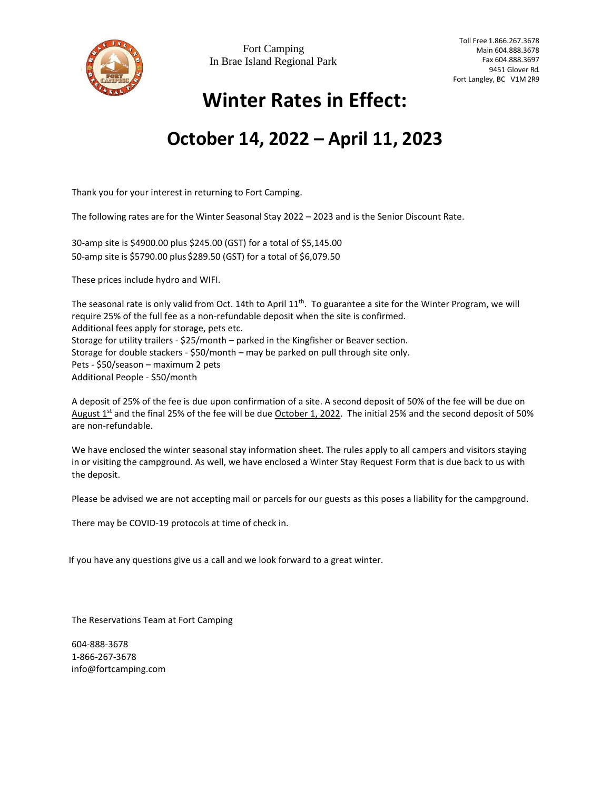

## **Winter Rates in Effect:**

## **October 14, 2022 – April 11, 2023**

Thank you for your interest in returning to Fort Camping.

The following rates are for the Winter Seasonal Stay 2022 – 2023 and is the Senior Discount Rate.

30-amp site is \$4900.00 plus \$245.00 (GST) for a total of \$5,145.00 50-amp site is \$5790.00 plus \$289.50 (GST) for a total of \$6,079.50

These prices include hydro and WIFI.

The seasonal rate is only valid from Oct. 14th to April  $11^{th}$ . To guarantee a site for the Winter Program, we will require 25% of the full fee as a non-refundable deposit when the site is confirmed. Additional fees apply for storage, pets etc. Storage for utility trailers - \$25/month – parked in the Kingfisher or Beaver section. Storage for double stackers - \$50/month – may be parked on pull through site only. Pets - \$50/season – maximum 2 pets Additional People - \$50/month

A deposit of 25% of the fee is due upon confirmation of a site. A second deposit of 50% of the fee will be due on August 1<sup>st</sup> and the final 25% of the fee will be due October 1, 2022. The initial 25% and the second deposit of 50% are non-refundable.

We have enclosed the winter seasonal stay information sheet. The rules apply to all campers and visitors staying in or visiting the campground. As well, we have enclosed a Winter Stay Request Form that is due back to us with the deposit.

Please be advised we are not accepting mail or parcels for our guests as this poses a liability for the campground.

There may be COVID-19 protocols at time of check in.

If you have any questions give us a call and we look forward to a great winter.

The Reservations Team at Fort Camping

604-888-3678 1-866-267-3678 [info@fortcamping.com](mailto:info@fortcamping.com)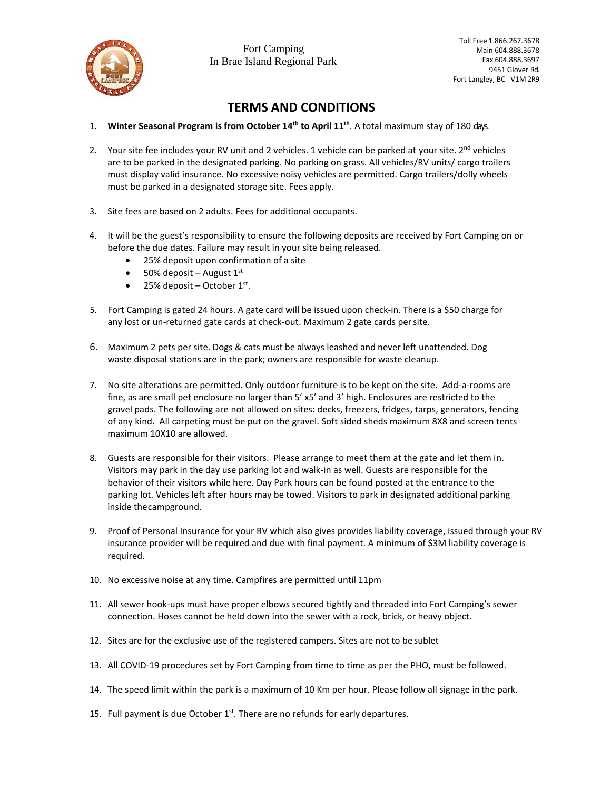

## **TERMS AND CONDITIONS**

- 1. Winter Seasonal Program is from October 14<sup>th</sup> to April 11<sup>th</sup>. A total maximum stay of 180 days.
- 2. Your site fee includes your RV unit and 2 vehicles. 1 vehicle can be parked at your site.  $2^{nd}$  vehicles are to be parked in the designated parking. No parking on grass. All vehicles/RV units/ cargo trailers must display valid insurance. No excessive noisy vehicles are permitted. Cargo trailers/dolly wheels must be parked in a designated storage site. Fees apply.
- 3. Site fees are based on 2 adults. Fees for additional occupants.
- 4. It will be the guest's responsibility to ensure the following deposits are received by Fort Camping on or before the due dates. Failure may result in your site being released.
	- 25% deposit upon confirmation of a site
	- 50% deposit August  $1<sup>st</sup>$
	- $\bullet$  25% deposit October 1st.
- 5. Fort Camping is gated 24 hours. A gate card will be issued upon check-in. There is a \$50 charge for any lost or un-returned gate cards at check-out. Maximum 2 gate cards persite.
- 6. Maximum 2 pets per site. Dogs & cats must be always leashed and never left unattended. Dog waste disposal stations are in the park; owners are responsible for waste cleanup.
- 7. No site alterations are permitted. Only outdoor furniture is to be kept on the site. Add-a-rooms are fine, as are small pet enclosure no larger than 5' x5' and 3' high. Enclosures are restricted to the gravel pads. The following are not allowed on sites: decks, freezers, fridges, tarps, generators, fencing of any kind. All carpeting must be put on the gravel. Soft sided sheds maximum 8X8 and screen tents maximum 10X10 are allowed.
- 8. Guests are responsible for their visitors. Please arrange to meet them at the gate and let them in. Visitors may park in the day use parking lot and walk-in as well. Guests are responsible for the behavior of their visitors while here. Day Park hours can be found posted at the entrance to the parking lot. Vehicles left after hours may be towed. Visitors to park in designated additional parking inside thecampground.
- 9. Proof of Personal Insurance for your RV which also gives provides liability coverage, issued through your RV insurance provider will be required and due with final payment. A minimum of \$3M liability coverage is required.
- 10. No excessive noise at any time. Campfires are permitted until 11pm
- 11. All sewer hook-ups must have proper elbows secured tightly and threaded into Fort Camping's sewer connection. Hoses cannot be held down into the sewer with a rock, brick, or heavy object.
- 12. Sites are for the exclusive use of the registered campers. Sites are not to be sublet
- 13. All COVID-19 procedures set by Fort Camping from time to time as per the PHO, must be followed.
- 14. The speed limit within the park is a maximum of 10 Km per hour. Please follow all signage in the park.
- 15. Full payment is due October 1<sup>st</sup>. There are no refunds for early departures.